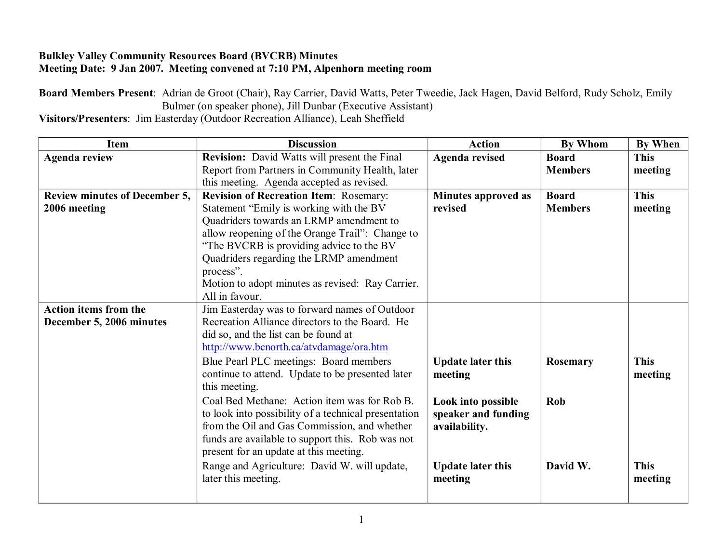## **Bulkley Valley Community Resources Board (BVCRB) Minutes Meeting Date: 9 Jan 2007. Meeting convened at 7:10 PM, Alpenhorn meeting room**

**Board Members Present**: Adrian de Groot (Chair), Ray Carrier, David Watts, Peter Tweedie, Jack Hagen, David Belford, Rudy Scholz, Emily Bulmer (on speaker phone), Jill Dunbar (Executive Assistant)

**Visitors/Presenters**: Jim Easterday (Outdoor Recreation Alliance), Leah Sheffield

| Item                                 | <b>Discussion</b>                                                 | <b>Action</b>             | <b>By Whom</b> | By When     |
|--------------------------------------|-------------------------------------------------------------------|---------------------------|----------------|-------------|
| <b>Agenda review</b>                 | <b>Revision:</b> David Watts will present the Final               | <b>Agenda revised</b>     | <b>Board</b>   | <b>This</b> |
|                                      | Report from Partners in Community Health, later                   |                           | <b>Members</b> | meeting     |
|                                      | this meeting. Agenda accepted as revised.                         |                           |                |             |
| <b>Review minutes of December 5,</b> | Revision of Recreation Item: Rosemary:                            | Minutes approved as       | <b>Board</b>   | <b>This</b> |
| 2006 meeting                         | Statement "Emily is working with the BV                           | revised                   | <b>Members</b> | meeting     |
|                                      | Quadriders towards an LRMP amendment to                           |                           |                |             |
|                                      | allow reopening of the Orange Trail": Change to                   |                           |                |             |
|                                      | "The BVCRB is providing advice to the BV                          |                           |                |             |
|                                      | Quadriders regarding the LRMP amendment                           |                           |                |             |
|                                      | process".                                                         |                           |                |             |
|                                      | Motion to adopt minutes as revised: Ray Carrier.                  |                           |                |             |
|                                      | All in favour.                                                    |                           |                |             |
| <b>Action items from the</b>         | Jim Easterday was to forward names of Outdoor                     |                           |                |             |
| December 5, 2006 minutes             | Recreation Alliance directors to the Board. He                    |                           |                |             |
|                                      | did so, and the list can be found at                              |                           |                |             |
|                                      | http://www.bcnorth.ca/atvdamage/ora.htm                           |                           |                |             |
|                                      | Blue Pearl PLC meetings: Board members                            | <b>Update later this</b>  | Rosemary       | <b>This</b> |
|                                      | continue to attend. Update to be presented later<br>this meeting. | meeting                   |                | meeting     |
|                                      | Coal Bed Methane: Action item was for Rob B.                      | <b>Look into possible</b> | Rob            |             |
|                                      | to look into possibility of a technical presentation              | speaker and funding       |                |             |
|                                      | from the Oil and Gas Commission, and whether                      | availability.             |                |             |
|                                      | funds are available to support this. Rob was not                  |                           |                |             |
|                                      | present for an update at this meeting.                            |                           |                |             |
|                                      | Range and Agriculture: David W. will update,                      | <b>Update later this</b>  | David W.       | <b>This</b> |
|                                      | later this meeting.                                               | meeting                   |                | meeting     |
|                                      |                                                                   |                           |                |             |
|                                      |                                                                   |                           |                |             |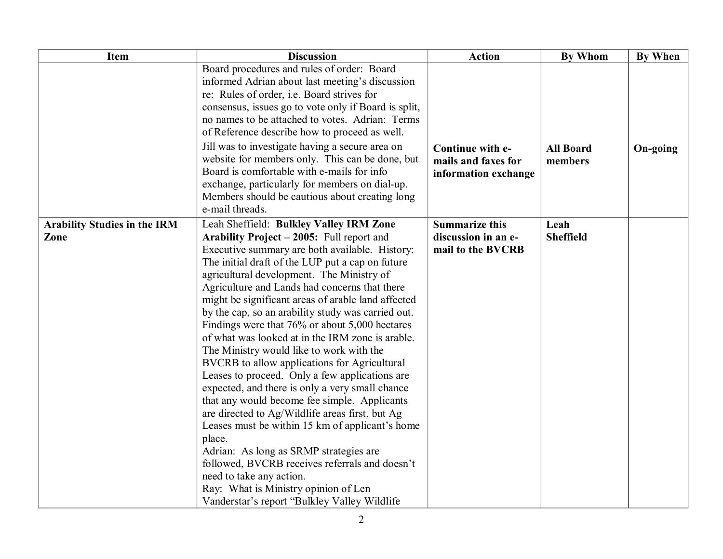| Item                                        | <b>Discussion</b>                                                                                                                                                                                                                                                                                                                                                                                                                                                                                                                                                                                                                                                                                                                                                                                                                                                                                                                                                                                                                                                                           | <b>Action</b>                                                     | <b>By Whom</b>              | <b>By When</b> |
|---------------------------------------------|---------------------------------------------------------------------------------------------------------------------------------------------------------------------------------------------------------------------------------------------------------------------------------------------------------------------------------------------------------------------------------------------------------------------------------------------------------------------------------------------------------------------------------------------------------------------------------------------------------------------------------------------------------------------------------------------------------------------------------------------------------------------------------------------------------------------------------------------------------------------------------------------------------------------------------------------------------------------------------------------------------------------------------------------------------------------------------------------|-------------------------------------------------------------------|-----------------------------|----------------|
|                                             | Board procedures and rules of order: Board<br>informed Adrian about last meeting's discussion<br>re: Rules of order, i.e. Board strives for<br>consensus, issues go to vote only if Board is split,<br>no names to be attached to votes. Adrian: Terms<br>of Reference describe how to proceed as well.                                                                                                                                                                                                                                                                                                                                                                                                                                                                                                                                                                                                                                                                                                                                                                                     |                                                                   |                             |                |
|                                             | Jill was to investigate having a secure area on<br>website for members only. This can be done, but<br>Board is comfortable with e-mails for info<br>exchange, particularly for members on dial-up.<br>Members should be cautious about creating long<br>e-mail threads.                                                                                                                                                                                                                                                                                                                                                                                                                                                                                                                                                                                                                                                                                                                                                                                                                     | Continue with e-<br>mails and faxes for<br>information exchange   | <b>All Board</b><br>members | On-going       |
| <b>Arability Studies in the IRM</b><br>Zone | Leah Sheffield: Bulkley Valley IRM Zone<br>Arability Project - 2005: Full report and<br>Executive summary are both available. History:<br>The initial draft of the LUP put a cap on future<br>agricultural development. The Ministry of<br>Agriculture and Lands had concerns that there<br>might be significant areas of arable land affected<br>by the cap, so an arability study was carried out.<br>Findings were that 76% or about 5,000 hectares<br>of what was looked at in the IRM zone is arable.<br>The Ministry would like to work with the<br>BVCRB to allow applications for Agricultural<br>Leases to proceed. Only a few applications are<br>expected, and there is only a very small chance<br>that any would become fee simple. Applicants<br>are directed to Ag/Wildlife areas first, but Ag<br>Leases must be within 15 km of applicant's home<br>place.<br>Adrian: As long as SRMP strategies are<br>followed, BVCRB receives referrals and doesn't<br>need to take any action.<br>Ray: What is Ministry opinion of Len<br>Vanderstar's report "Bulkley Valley Wildlife | <b>Summarize this</b><br>discussion in an e-<br>mail to the BVCRB | Leah<br><b>Sheffield</b>    |                |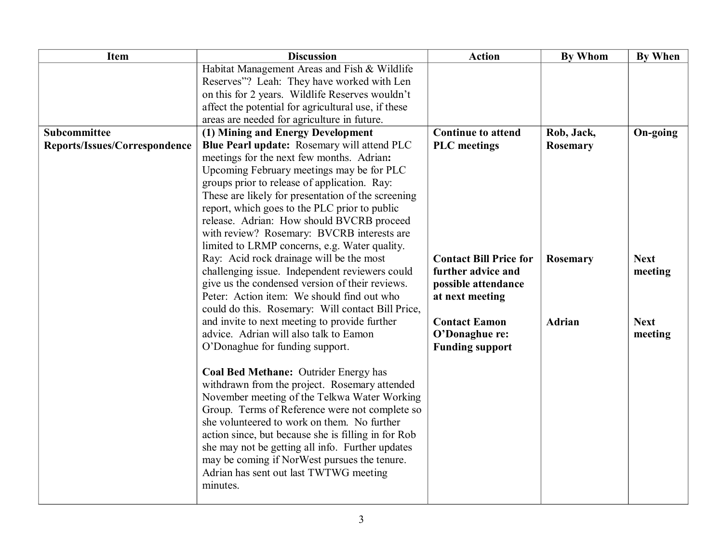| <b>Item</b>                   | <b>Discussion</b>                                                                           | <b>Action</b>                 | <b>By Whom</b>  | <b>By When</b> |
|-------------------------------|---------------------------------------------------------------------------------------------|-------------------------------|-----------------|----------------|
|                               | Habitat Management Areas and Fish & Wildlife<br>Reserves"? Leah: They have worked with Len  |                               |                 |                |
|                               | on this for 2 years. Wildlife Reserves wouldn't                                             |                               |                 |                |
|                               | affect the potential for agricultural use, if these                                         |                               |                 |                |
|                               | areas are needed for agriculture in future.                                                 |                               |                 |                |
| Subcommittee                  | (1) Mining and Energy Development                                                           | <b>Continue to attend</b>     | Rob, Jack,      | On-going       |
| Reports/Issues/Correspondence | Blue Pearl update: Rosemary will attend PLC                                                 | <b>PLC</b> meetings           | <b>Rosemary</b> |                |
|                               | meetings for the next few months. Adrian:                                                   |                               |                 |                |
|                               | Upcoming February meetings may be for PLC                                                   |                               |                 |                |
|                               | groups prior to release of application. Ray:                                                |                               |                 |                |
|                               | These are likely for presentation of the screening                                          |                               |                 |                |
|                               | report, which goes to the PLC prior to public                                               |                               |                 |                |
|                               | release. Adrian: How should BVCRB proceed                                                   |                               |                 |                |
|                               | with review? Rosemary: BVCRB interests are<br>limited to LRMP concerns, e.g. Water quality. |                               |                 |                |
|                               | Ray: Acid rock drainage will be the most                                                    | <b>Contact Bill Price for</b> | <b>Rosemary</b> | <b>Next</b>    |
|                               | challenging issue. Independent reviewers could                                              | further advice and            |                 | meeting        |
|                               | give us the condensed version of their reviews.                                             | possible attendance           |                 |                |
|                               | Peter: Action item: We should find out who                                                  | at next meeting               |                 |                |
|                               | could do this. Rosemary: Will contact Bill Price,                                           |                               |                 |                |
|                               | and invite to next meeting to provide further                                               | <b>Contact Eamon</b>          | <b>Adrian</b>   | <b>Next</b>    |
|                               | advice. Adrian will also talk to Eamon                                                      | O'Donaghue re:                |                 | meeting        |
|                               | O'Donaghue for funding support.                                                             | <b>Funding support</b>        |                 |                |
|                               |                                                                                             |                               |                 |                |
|                               | Coal Bed Methane: Outrider Energy has                                                       |                               |                 |                |
|                               | withdrawn from the project. Rosemary attended                                               |                               |                 |                |
|                               | November meeting of the Telkwa Water Working                                                |                               |                 |                |
|                               | Group. Terms of Reference were not complete so                                              |                               |                 |                |
|                               | she volunteered to work on them. No further                                                 |                               |                 |                |
|                               | action since, but because she is filling in for Rob                                         |                               |                 |                |
|                               | she may not be getting all info. Further updates                                            |                               |                 |                |
|                               | may be coming if NorWest pursues the tenure.                                                |                               |                 |                |
|                               | Adrian has sent out last TWTWG meeting                                                      |                               |                 |                |
|                               | minutes.                                                                                    |                               |                 |                |
|                               |                                                                                             |                               |                 |                |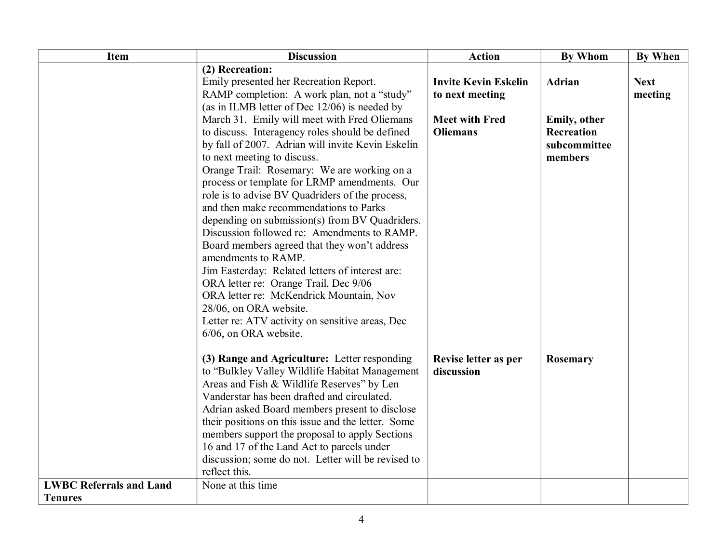| <b>Item</b>                    | <b>Discussion</b>                                  | <b>Action</b>               | <b>By Whom</b> | By When     |
|--------------------------------|----------------------------------------------------|-----------------------------|----------------|-------------|
|                                | (2) Recreation:                                    |                             |                |             |
|                                | Emily presented her Recreation Report.             | <b>Invite Kevin Eskelin</b> | Adrian         | <b>Next</b> |
|                                | RAMP completion: A work plan, not a "study"        | to next meeting             |                | meeting     |
|                                | (as in ILMB letter of Dec 12/06) is needed by      |                             |                |             |
|                                | March 31. Emily will meet with Fred Oliemans       | <b>Meet with Fred</b>       | Emily, other   |             |
|                                | to discuss. Interagency roles should be defined    | <b>Oliemans</b>             | Recreation     |             |
|                                | by fall of 2007. Adrian will invite Kevin Eskelin  |                             | subcommittee   |             |
|                                | to next meeting to discuss.                        |                             | members        |             |
|                                | Orange Trail: Rosemary: We are working on a        |                             |                |             |
|                                | process or template for LRMP amendments. Our       |                             |                |             |
|                                | role is to advise BV Quadriders of the process,    |                             |                |             |
|                                | and then make recommendations to Parks             |                             |                |             |
|                                | depending on submission(s) from BV Quadriders.     |                             |                |             |
|                                | Discussion followed re: Amendments to RAMP.        |                             |                |             |
|                                | Board members agreed that they won't address       |                             |                |             |
|                                | amendments to RAMP.                                |                             |                |             |
|                                | Jim Easterday: Related letters of interest are:    |                             |                |             |
|                                | ORA letter re: Orange Trail, Dec 9/06              |                             |                |             |
|                                | ORA letter re: McKendrick Mountain, Nov            |                             |                |             |
|                                | 28/06, on ORA website.                             |                             |                |             |
|                                | Letter re: ATV activity on sensitive areas, Dec    |                             |                |             |
|                                | 6/06, on ORA website.                              |                             |                |             |
|                                | (3) Range and Agriculture: Letter responding       | Revise letter as per        | Rosemary       |             |
|                                | to "Bulkley Valley Wildlife Habitat Management     | discussion                  |                |             |
|                                | Areas and Fish & Wildlife Reserves" by Len         |                             |                |             |
|                                | Vanderstar has been drafted and circulated.        |                             |                |             |
|                                | Adrian asked Board members present to disclose     |                             |                |             |
|                                | their positions on this issue and the letter. Some |                             |                |             |
|                                | members support the proposal to apply Sections     |                             |                |             |
|                                | 16 and 17 of the Land Act to parcels under         |                             |                |             |
|                                | discussion; some do not. Letter will be revised to |                             |                |             |
|                                | reflect this.                                      |                             |                |             |
| <b>LWBC Referrals and Land</b> | None at this time                                  |                             |                |             |
| <b>Tenures</b>                 |                                                    |                             |                |             |